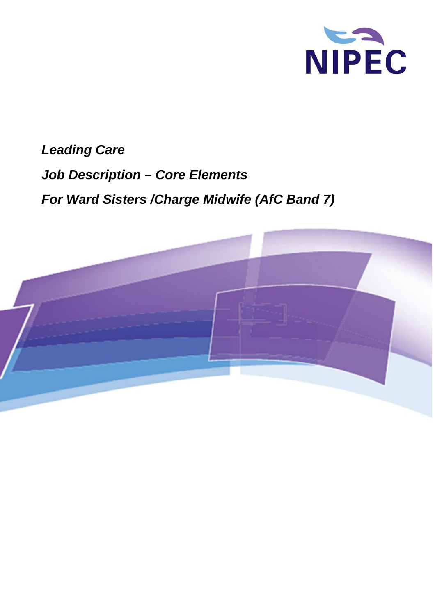

# *Leading Care Job Description – Core Elements For Ward Sisters /Charge Midwife (AfC Band 7)*

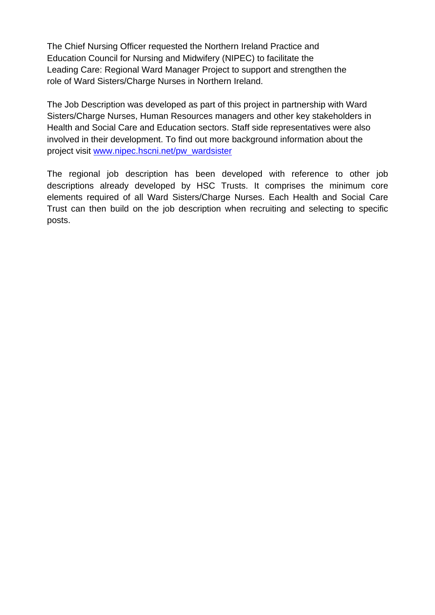The Chief Nursing Officer requested the Northern Ireland Practice and Education Council for Nursing and Midwifery (NIPEC) to facilitate the Leading Care: Regional Ward Manager Project to support and strengthen the role of Ward Sisters/Charge Nurses in Northern Ireland.

The Job Description was developed as part of this project in partnership with Ward Sisters/Charge Nurses, Human Resources managers and other key stakeholders in Health and Social Care and Education sectors. Staff side representatives were also involved in their development. To find out more background information about the project visit www.nipec.hscni.net/pw\_wardsister

The regional job description has been developed with reference to other job descriptions already developed by HSC Trusts. It comprises the minimum core elements required of all Ward Sisters/Charge Nurses. Each Health and Social Care Trust can then build on the job description when recruiting and selecting to specific posts.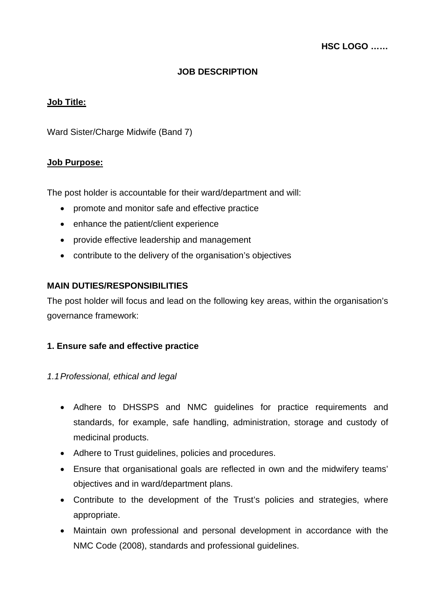# **JOB DESCRIPTION**

#### **Job Title:**

Ward Sister/Charge Midwife (Band 7)

#### **Job Purpose:**

The post holder is accountable for their ward/department and will:

- promote and monitor safe and effective practice
- enhance the patient/client experience
- provide effective leadership and management
- contribute to the delivery of the organisation's objectives

## **MAIN DUTIES/RESPONSIBILITIES**

The post holder will focus and lead on the following key areas, within the organisation's governance framework:

#### **1. Ensure safe and effective practice**

#### *1.1 Professional, ethical and legal*

- Adhere to DHSSPS and NMC guidelines for practice requirements and standards, for example, safe handling, administration, storage and custody of medicinal products.
- Adhere to Trust guidelines, policies and procedures.
- Ensure that organisational goals are reflected in own and the midwifery teams' objectives and in ward/department plans.
- Contribute to the development of the Trust's policies and strategies, where appropriate.
- Maintain own professional and personal development in accordance with the NMC Code (2008), standards and professional guidelines.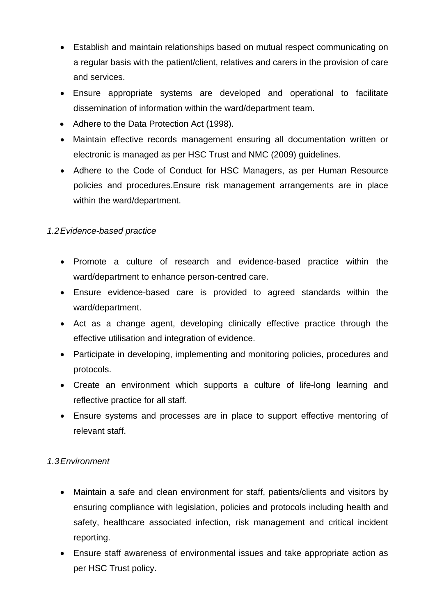- Establish and maintain relationships based on mutual respect communicating on a regular basis with the patient/client, relatives and carers in the provision of care and services.
- Ensure appropriate systems are developed and operational to facilitate dissemination of information within the ward/department team.
- Adhere to the Data Protection Act (1998).
- Maintain effective records management ensuring all documentation written or electronic is managed as per HSC Trust and NMC (2009) guidelines.
- Adhere to the Code of Conduct for HSC Managers, as per Human Resource policies and procedures.Ensure risk management arrangements are in place within the ward/department.

# *1.2 Evidence-based practice*

- Promote a culture of research and evidence-based practice within the ward/department to enhance person-centred care.
- Ensure evidence-based care is provided to agreed standards within the ward/department.
- Act as a change agent, developing clinically effective practice through the effective utilisation and integration of evidence.
- Participate in developing, implementing and monitoring policies, procedures and protocols.
- Create an environment which supports a culture of life-long learning and reflective practice for all staff.
- Ensure systems and processes are in place to support effective mentoring of relevant staff.

# *1.3 Environment*

- Maintain a safe and clean environment for staff, patients/clients and visitors by ensuring compliance with legislation, policies and protocols including health and safety, healthcare associated infection, risk management and critical incident reporting.
- Ensure staff awareness of environmental issues and take appropriate action as per HSC Trust policy.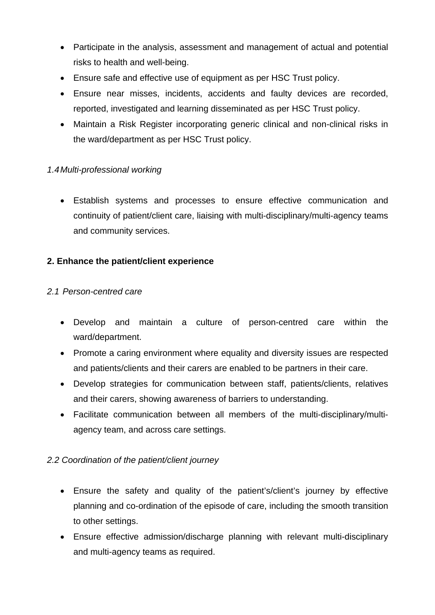- Participate in the analysis, assessment and management of actual and potential risks to health and well-being.
- Ensure safe and effective use of equipment as per HSC Trust policy.
- Ensure near misses, incidents, accidents and faulty devices are recorded, reported, investigated and learning disseminated as per HSC Trust policy.
- Maintain a Risk Register incorporating generic clinical and non-clinical risks in the ward/department as per HSC Trust policy.

## *1.4 Multi-professional working*

 Establish systems and processes to ensure effective communication and continuity of patient/client care, liaising with multi-disciplinary/multi-agency teams and community services.

# **2. Enhance the patient/client experience**

#### *2.1 Person-centred care*

- Develop and maintain a culture of person-centred care within the ward/department.
- Promote a caring environment where equality and diversity issues are respected and patients/clients and their carers are enabled to be partners in their care.
- Develop strategies for communication between staff, patients/clients, relatives and their carers, showing awareness of barriers to understanding.
- Facilitate communication between all members of the multi-disciplinary/multiagency team, and across care settings.

# *2.2 Coordination of the patient/client journey*

- Ensure the safety and quality of the patient's/client's journey by effective planning and co-ordination of the episode of care, including the smooth transition to other settings.
- Ensure effective admission/discharge planning with relevant multi-disciplinary and multi-agency teams as required.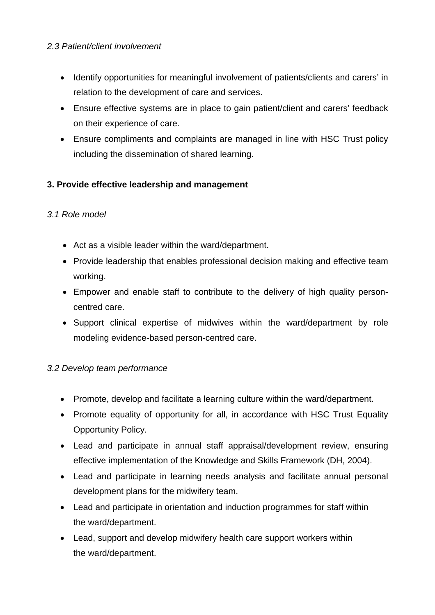#### *2.3 Patient/client involvement*

- Identify opportunities for meaningful involvement of patients/clients and carers' in relation to the development of care and services.
- Ensure effective systems are in place to gain patient/client and carers' feedback on their experience of care.
- Ensure compliments and complaints are managed in line with HSC Trust policy including the dissemination of shared learning.

# **3. Provide effective leadership and management**

## *3.1 Role model*

- Act as a visible leader within the ward/department.
- Provide leadership that enables professional decision making and effective team working.
- Empower and enable staff to contribute to the delivery of high quality personcentred care.
- Support clinical expertise of midwives within the ward/department by role modeling evidence-based person-centred care.

#### *3.2 Develop team performance*

- Promote, develop and facilitate a learning culture within the ward/department.
- Promote equality of opportunity for all, in accordance with HSC Trust Equality Opportunity Policy.
- Lead and participate in annual staff appraisal/development review, ensuring effective implementation of the Knowledge and Skills Framework (DH, 2004).
- Lead and participate in learning needs analysis and facilitate annual personal development plans for the midwifery team.
- Lead and participate in orientation and induction programmes for staff within the ward/department.
- Lead, support and develop midwifery health care support workers within the ward/department.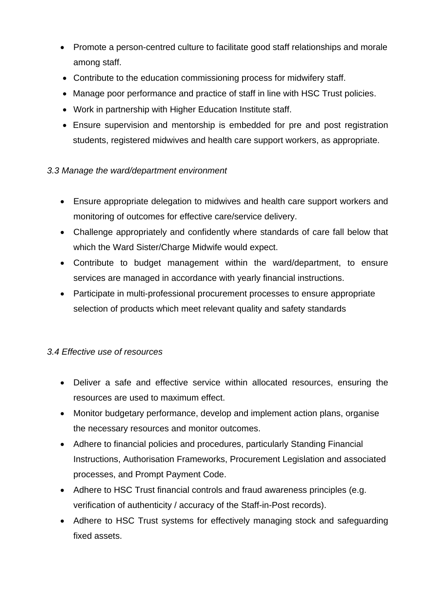- Promote a person-centred culture to facilitate good staff relationships and morale among staff.
- Contribute to the education commissioning process for midwifery staff.
- Manage poor performance and practice of staff in line with HSC Trust policies.
- Work in partnership with Higher Education Institute staff.
- Ensure supervision and mentorship is embedded for pre and post registration students, registered midwives and health care support workers, as appropriate.

## *3.3 Manage the ward/department environment*

- Ensure appropriate delegation to midwives and health care support workers and monitoring of outcomes for effective care/service delivery.
- Challenge appropriately and confidently where standards of care fall below that which the Ward Sister/Charge Midwife would expect.
- Contribute to budget management within the ward/department, to ensure services are managed in accordance with yearly financial instructions.
- Participate in multi-professional procurement processes to ensure appropriate selection of products which meet relevant quality and safety standards

#### *3.4 Effective use of resources*

- Deliver a safe and effective service within allocated resources, ensuring the resources are used to maximum effect.
- Monitor budgetary performance, develop and implement action plans, organise the necessary resources and monitor outcomes.
- Adhere to financial policies and procedures, particularly Standing Financial Instructions, Authorisation Frameworks, Procurement Legislation and associated processes, and Prompt Payment Code.
- Adhere to HSC Trust financial controls and fraud awareness principles (e.g. verification of authenticity / accuracy of the Staff-in-Post records).
- Adhere to HSC Trust systems for effectively managing stock and safeguarding fixed assets.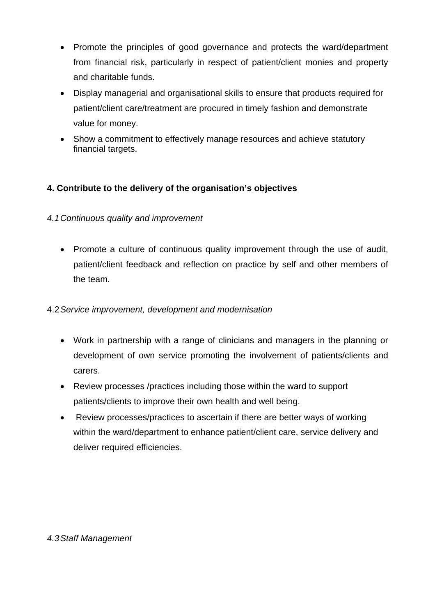- Promote the principles of good governance and protects the ward/department from financial risk, particularly in respect of patient/client monies and property and charitable funds.
- Display managerial and organisational skills to ensure that products required for patient/client care/treatment are procured in timely fashion and demonstrate value for money.
- Show a commitment to effectively manage resources and achieve statutory financial targets.

# **4. Contribute to the delivery of the organisation's objectives**

- *4.1 Continuous quality and improvement* 
	- Promote a culture of continuous quality improvement through the use of audit, patient/client feedback and reflection on practice by self and other members of the team.
- 4.2 *Service improvement, development and modernisation* 
	- Work in partnership with a range of clinicians and managers in the planning or development of own service promoting the involvement of patients/clients and carers.
	- Review processes /practices including those within the ward to support patients/clients to improve their own health and well being.
	- Review processes/practices to ascertain if there are better ways of working within the ward/department to enhance patient/client care, service delivery and deliver required efficiencies.

*4.3 Staff Management*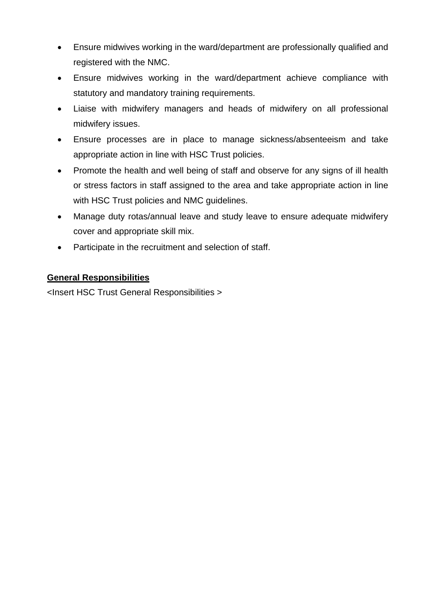- Ensure midwives working in the ward/department are professionally qualified and registered with the NMC.
- Ensure midwives working in the ward/department achieve compliance with statutory and mandatory training requirements.
- Liaise with midwifery managers and heads of midwifery on all professional midwifery issues.
- Ensure processes are in place to manage sickness/absenteeism and take appropriate action in line with HSC Trust policies.
- Promote the health and well being of staff and observe for any signs of ill health or stress factors in staff assigned to the area and take appropriate action in line with HSC Trust policies and NMC guidelines.
- Manage duty rotas/annual leave and study leave to ensure adequate midwifery cover and appropriate skill mix.
- Participate in the recruitment and selection of staff.

# **General Responsibilities**

<Insert HSC Trust General Responsibilities >